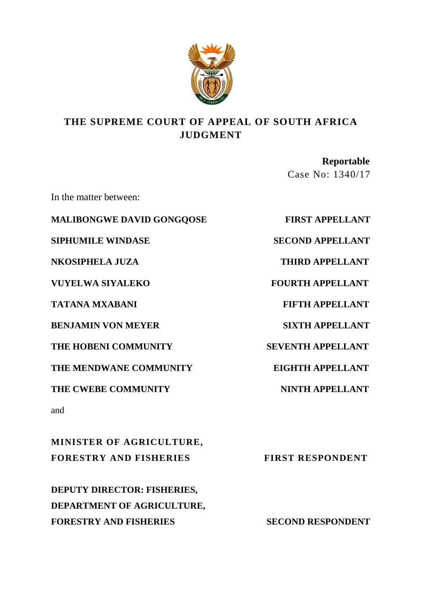

# **THE SUPREME COURT OF APPEAL OF SOUTH AFRICA JUDGMENT**

 **Reportable**  Case No: 1340/17

In the matter between:

**MALIBONGWE DAVID GONGQOSE FIRST APPELLANT**

**NKOSIPHELA JUZA THIRD APPELLANT**

**VUYELWA SIYALEKO FOURTH APPELLANT** 

**TATANA MXABANI FIFTH APPELLANT**

**BENJAMIN VON MEYER SIXTH APPELLANT**

THE HOBENI COMMUNITY SEVENTH APPELLANT

**THE MENDWANE COMMUNITY EIGHTH APPELLANT**

THE CWEBE COMMUNITY **NINTH APPELLANT** 

and

**MINISTER OF AGRICULTURE, FORESTRY AND FISHERIES FIRST RESPONDENT** 

**DEPUTY DIRECTOR: FISHERIES, DEPARTMENT OF AGRICULTURE, FORESTRY AND FISHERIES SECOND RESPONDENT** 

**SIPHUMILE WINDASE SECOND APPELLANT**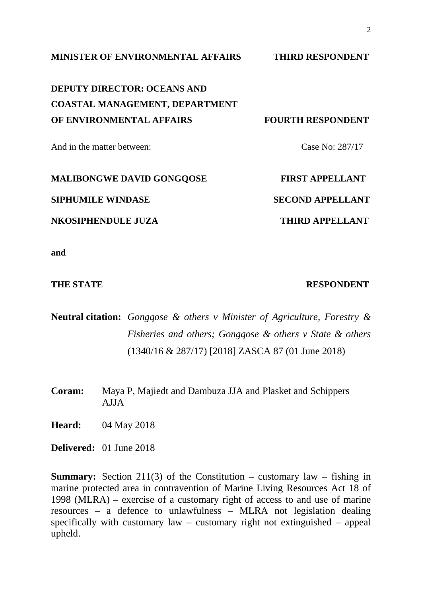**MINISTER OF ENVIRONMENTAL AFFAIRS THIRD RESPONDENT**

**DEPUTY DIRECTOR: OCEANS AND COASTAL MANAGEMENT, DEPARTMENT OF ENVIRONMENTAL AFFAIRS FOURTH RESPONDENT**

And in the matter between: Case No: 287/17

**MALIBONGWE DAVID GONGQOSE FIRST APPELLANT SIPHUMILE WINDASE SECOND APPELLANT NKOSIPHENDULE JUZA THIRD APPELLANT**

**and**

**THE STATE RESPONDENT** 

**Neutral citation:** *Gongqose & others v Minister of Agriculture, Forestry & Fisheries and others; Gongqose & others v State & others*  (1340/16 & 287/17) [2018] ZASCA 87 (01 June 2018)

**Coram:** Maya P, Majiedt and Dambuza JJA and Plasket and Schippers AJJA

**Heard:** 04 May 2018

**Delivered:** 01 June 2018

**Summary:** Section 211(3) of the Constitution – customary law – fishing in marine protected area in contravention of Marine Living Resources Act 18 of 1998 (MLRA) – exercise of a customary right of access to and use of marine resources – a defence to unlawfulness – MLRA not legislation dealing specifically with customary law – customary right not extinguished – appeal upheld.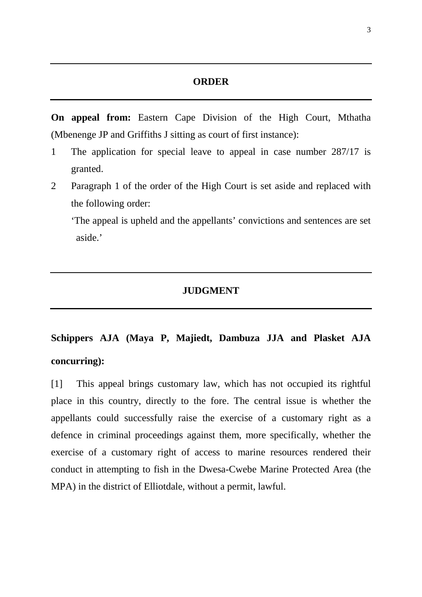#### **ORDER**

**On appeal from:** Eastern Cape Division of the High Court, Mthatha (Mbenenge JP and Griffiths J sitting as court of first instance):

- 1 The application for special leave to appeal in case number 287/17 is granted.
- 2 Paragraph 1 of the order of the High Court is set aside and replaced with the following order:

'The appeal is upheld and the appellants' convictions and sentences are set aside.'

## **JUDGMENT**

# **Schippers AJA (Maya P, Majiedt, Dambuza JJA and Plasket AJA concurring):**

[1] This appeal brings customary law, which has not occupied its rightful place in this country, directly to the fore. The central issue is whether the appellants could successfully raise the exercise of a customary right as a defence in criminal proceedings against them, more specifically, whether the exercise of a customary right of access to marine resources rendered their conduct in attempting to fish in the Dwesa-Cwebe Marine Protected Area (the MPA) in the district of Elliotdale, without a permit, lawful.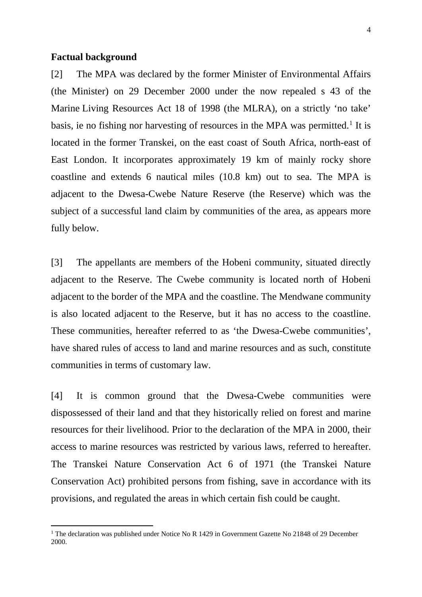#### **Factual background**

 $\overline{a}$ 

[2] The MPA was declared by the former Minister of Environmental Affairs (the Minister) on 29 December 2000 under the now repealed s 43 of the Marine Living Resources Act 18 of 1998 (the MLRA), on a strictly 'no take' basis, ie no fishing nor harvesting of resources in the MPA was permitted.<sup>[1](#page-3-0)</sup> It is located in the former Transkei, on the east coast of South Africa, north-east of East London. It incorporates approximately 19 km of mainly rocky shore coastline and extends 6 nautical miles (10.8 km) out to sea. The MPA is adjacent to the Dwesa-Cwebe Nature Reserve (the Reserve) which was the subject of a successful land claim by communities of the area, as appears more fully below.

[3] The appellants are members of the Hobeni community, situated directly adjacent to the Reserve. The Cwebe community is located north of Hobeni adjacent to the border of the MPA and the coastline. The Mendwane community is also located adjacent to the Reserve, but it has no access to the coastline. These communities, hereafter referred to as 'the Dwesa-Cwebe communities', have shared rules of access to land and marine resources and as such, constitute communities in terms of customary law.

[4] It is common ground that the Dwesa-Cwebe communities were dispossessed of their land and that they historically relied on forest and marine resources for their livelihood. Prior to the declaration of the MPA in 2000, their access to marine resources was restricted by various laws, referred to hereafter. The Transkei Nature Conservation Act 6 of 1971 (the Transkei Nature Conservation Act) prohibited persons from fishing, save in accordance with its provisions, and regulated the areas in which certain fish could be caught.

<span id="page-3-0"></span><sup>&</sup>lt;sup>1</sup> The declaration was published under Notice No R 1429 in Government Gazette No 21848 of 29 December 2000.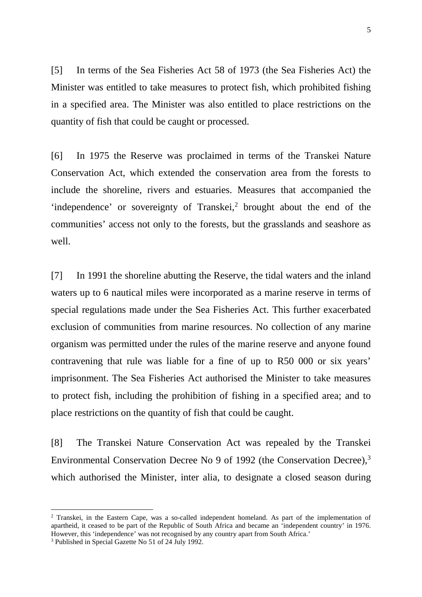[5] In terms of the Sea Fisheries Act 58 of 1973 (the Sea Fisheries Act) the Minister was entitled to take measures to protect fish, which prohibited fishing in a specified area. The Minister was also entitled to place restrictions on the quantity of fish that could be caught or processed.

[6] In 1975 the Reserve was proclaimed in terms of the Transkei Nature Conservation Act, which extended the conservation area from the forests to include the shoreline, rivers and estuaries. Measures that accompanied the 'independence' or sovereignty of Transkei,<sup>[2](#page-4-0)</sup> brought about the end of the communities' access not only to the forests, but the grasslands and seashore as well.

[7] In 1991 the shoreline abutting the Reserve, the tidal waters and the inland waters up to 6 nautical miles were incorporated as a marine reserve in terms of special regulations made under the Sea Fisheries Act. This further exacerbated exclusion of communities from marine resources. No collection of any marine organism was permitted under the rules of the marine reserve and anyone found contravening that rule was liable for a fine of up to R50 000 or six years' imprisonment. The Sea Fisheries Act authorised the Minister to take measures to protect fish, including the prohibition of fishing in a specified area; and to place restrictions on the quantity of fish that could be caught.

[8] The Transkei Nature Conservation Act was repealed by the Transkei Environmental Conservation Decree No 9 of 1992 (the Conservation Decree),<sup>[3](#page-4-1)</sup> which authorised the Minister, inter alia, to designate a closed season during

<span id="page-4-0"></span><sup>2</sup> Transkei, in the Eastern Cape, was a so-called independent homeland. As part of the implementation of apartheid, it ceased to be part of the Republic of South Africa and became an 'independent country' in 1976. However, this 'independence' was not recognised by any country apart from South Africa.' 3 Published in Special Gazette No 51 of 24 July 1992.

<span id="page-4-1"></span>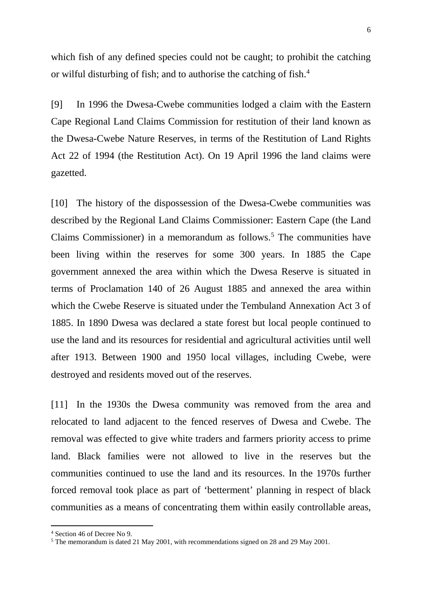which fish of any defined species could not be caught; to prohibit the catching or wilful disturbing of fish; and to authorise the catching of fish.[4](#page-5-0)

[9] In 1996 the Dwesa-Cwebe communities lodged a claim with the Eastern Cape Regional Land Claims Commission for restitution of their land known as the Dwesa-Cwebe Nature Reserves, in terms of the Restitution of Land Rights Act 22 of 1994 (the Restitution Act). On 19 April 1996 the land claims were gazetted.

[10] The history of the dispossession of the Dwesa-Cwebe communities was described by the Regional Land Claims Commissioner: Eastern Cape (the Land Claims Commissioner) in a memorandum as follows.<sup>5</sup> The communities have been living within the reserves for some 300 years. In 1885 the Cape government annexed the area within which the Dwesa Reserve is situated in terms of Proclamation 140 of 26 August 1885 and annexed the area within which the Cwebe Reserve is situated under the Tembuland Annexation Act 3 of 1885. In 1890 Dwesa was declared a state forest but local people continued to use the land and its resources for residential and agricultural activities until well after 1913. Between 1900 and 1950 local villages, including Cwebe, were destroyed and residents moved out of the reserves.

[11] In the 1930s the Dwesa community was removed from the area and relocated to land adjacent to the fenced reserves of Dwesa and Cwebe. The removal was effected to give white traders and farmers priority access to prime land. Black families were not allowed to live in the reserves but the communities continued to use the land and its resources. In the 1970s further forced removal took place as part of 'betterment' planning in respect of black communities as a means of concentrating them within easily controllable areas,

<sup>4</sup> Section 46 of Decree No 9.

<span id="page-5-1"></span><span id="page-5-0"></span><sup>5</sup> The memorandum is dated 21 May 2001, with recommendations signed on 28 and 29 May 2001.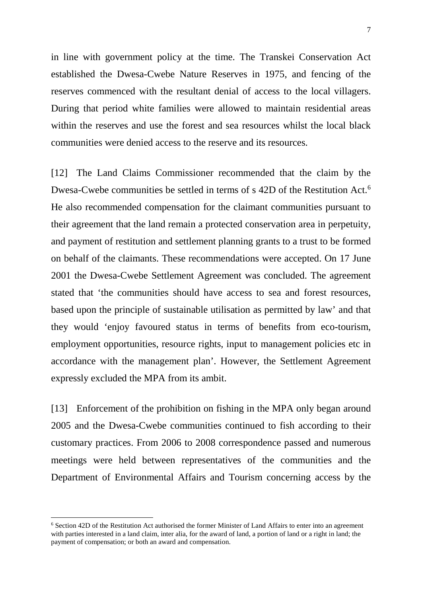in line with government policy at the time. The Transkei Conservation Act established the Dwesa-Cwebe Nature Reserves in 1975, and fencing of the reserves commenced with the resultant denial of access to the local villagers. During that period white families were allowed to maintain residential areas within the reserves and use the forest and sea resources whilst the local black communities were denied access to the reserve and its resources.

[12] The Land Claims Commissioner recommended that the claim by the Dwesa-Cwebe communities be settled in terms of s 42D of the Restitution Act.<sup>[6](#page-6-0)</sup> He also recommended compensation for the claimant communities pursuant to their agreement that the land remain a protected conservation area in perpetuity, and payment of restitution and settlement planning grants to a trust to be formed on behalf of the claimants. These recommendations were accepted. On 17 June 2001 the Dwesa-Cwebe Settlement Agreement was concluded. The agreement stated that 'the communities should have access to sea and forest resources, based upon the principle of sustainable utilisation as permitted by law' and that they would 'enjoy favoured status in terms of benefits from eco-tourism, employment opportunities, resource rights, input to management policies etc in accordance with the management plan'. However, the Settlement Agreement expressly excluded the MPA from its ambit.

[13] Enforcement of the prohibition on fishing in the MPA only began around 2005 and the Dwesa-Cwebe communities continued to fish according to their customary practices. From 2006 to 2008 correspondence passed and numerous meetings were held between representatives of the communities and the Department of Environmental Affairs and Tourism concerning access by the

<span id="page-6-0"></span><sup>6</sup> Section 42D of the Restitution Act authorised the former Minister of Land Affairs to enter into an agreement with parties interested in a land claim, inter alia, for the award of land, a portion of land or a right in land; the payment of compensation; or both an award and compensation.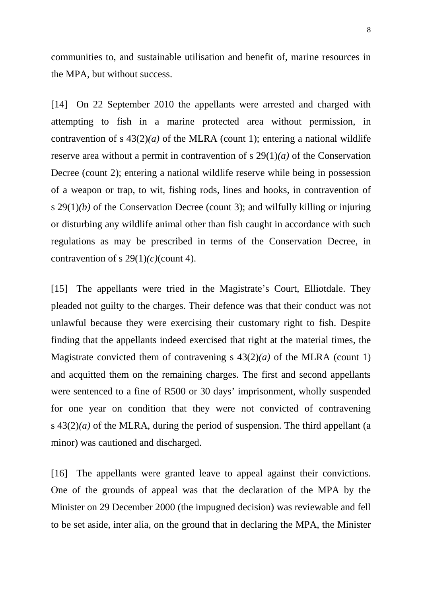communities to, and sustainable utilisation and benefit of, marine resources in the MPA, but without success.

[14] On 22 September 2010 the appellants were arrested and charged with attempting to fish in a marine protected area without permission, in contravention of s  $43(2)(a)$  of the MLRA (count 1); entering a national wildlife reserve area without a permit in contravention of s 29(1)*(a)* of the Conservation Decree (count 2); entering a national wildlife reserve while being in possession of a weapon or trap, to wit, fishing rods, lines and hooks, in contravention of s 29(1)*(b)* of the Conservation Decree (count 3); and wilfully killing or injuring or disturbing any wildlife animal other than fish caught in accordance with such regulations as may be prescribed in terms of the Conservation Decree, in contravention of s  $29(1)/(c)($ count 4).

[15] The appellants were tried in the Magistrate's Court, Elliotdale. They pleaded not guilty to the charges. Their defence was that their conduct was not unlawful because they were exercising their customary right to fish. Despite finding that the appellants indeed exercised that right at the material times, the Magistrate convicted them of contravening s  $43(2)(a)$  of the MLRA (count 1) and acquitted them on the remaining charges. The first and second appellants were sentenced to a fine of R500 or 30 days' imprisonment, wholly suspended for one year on condition that they were not convicted of contravening s 43(2)*(a)* of the MLRA, during the period of suspension. The third appellant (a minor) was cautioned and discharged.

[16] The appellants were granted leave to appeal against their convictions. One of the grounds of appeal was that the declaration of the MPA by the Minister on 29 December 2000 (the impugned decision) was reviewable and fell to be set aside, inter alia, on the ground that in declaring the MPA, the Minister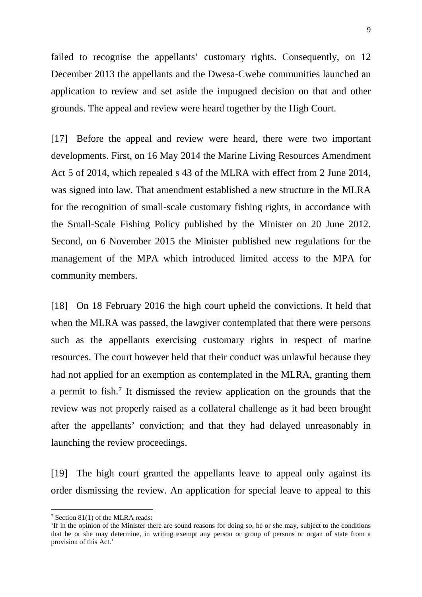failed to recognise the appellants' customary rights. Consequently, on 12 December 2013 the appellants and the Dwesa-Cwebe communities launched an application to review and set aside the impugned decision on that and other grounds. The appeal and review were heard together by the High Court.

[17] Before the appeal and review were heard, there were two important developments. First, on 16 May 2014 the Marine Living Resources Amendment Act 5 of 2014, which repealed s 43 of the MLRA with effect from 2 June 2014, was signed into law. That amendment established a new structure in the MLRA for the recognition of small-scale customary fishing rights, in accordance with the Small-Scale Fishing Policy published by the Minister on 20 June 2012. Second, on 6 November 2015 the Minister published new regulations for the management of the MPA which introduced limited access to the MPA for community members.

[18] On 18 February 2016 the high court upheld the convictions. It held that when the MLRA was passed, the lawgiver contemplated that there were persons such as the appellants exercising customary rights in respect of marine resources. The court however held that their conduct was unlawful because they had not applied for an exemption as contemplated in the MLRA, granting them a permit to fish. [7](#page-8-0) It dismissed the review application on the grounds that the review was not properly raised as a collateral challenge as it had been brought after the appellants' conviction; and that they had delayed unreasonably in launching the review proceedings.

[19] The high court granted the appellants leave to appeal only against its order dismissing the review. An application for special leave to appeal to this

<span id="page-8-0"></span><sup>7</sup> Section 81(1) of the MLRA reads:

<sup>&#</sup>x27;If in the opinion of the Minister there are sound reasons for doing so, he or she may, subject to the conditions that he or she may determine, in writing exempt any person or group of persons or organ of state from a provision of this Act.'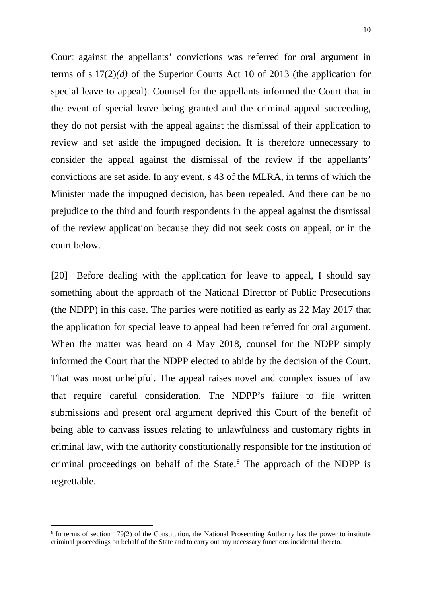Court against the appellants' convictions was referred for oral argument in terms of s 17(2)*(d)* of the Superior Courts Act 10 of 2013 (the application for special leave to appeal). Counsel for the appellants informed the Court that in the event of special leave being granted and the criminal appeal succeeding, they do not persist with the appeal against the dismissal of their application to review and set aside the impugned decision. It is therefore unnecessary to consider the appeal against the dismissal of the review if the appellants' convictions are set aside. In any event, s 43 of the MLRA, in terms of which the Minister made the impugned decision, has been repealed. And there can be no prejudice to the third and fourth respondents in the appeal against the dismissal of the review application because they did not seek costs on appeal, or in the court below.

[20] Before dealing with the application for leave to appeal, I should say something about the approach of the National Director of Public Prosecutions (the NDPP) in this case. The parties were notified as early as 22 May 2017 that the application for special leave to appeal had been referred for oral argument. When the matter was heard on 4 May 2018, counsel for the NDPP simply informed the Court that the NDPP elected to abide by the decision of the Court. That was most unhelpful. The appeal raises novel and complex issues of law that require careful consideration. The NDPP's failure to file written submissions and present oral argument deprived this Court of the benefit of being able to canvass issues relating to unlawfulness and customary rights in criminal law, with the authority constitutionally responsible for the institution of criminal proceedings on behalf of the State. [8](#page-9-0) The approach of the NDPP is regrettable.

<span id="page-9-0"></span><sup>&</sup>lt;sup>8</sup> In terms of section 179(2) of the Constitution, the National Prosecuting Authority has the power to institute criminal proceedings on behalf of the State and to carry out any necessary functions incidental thereto.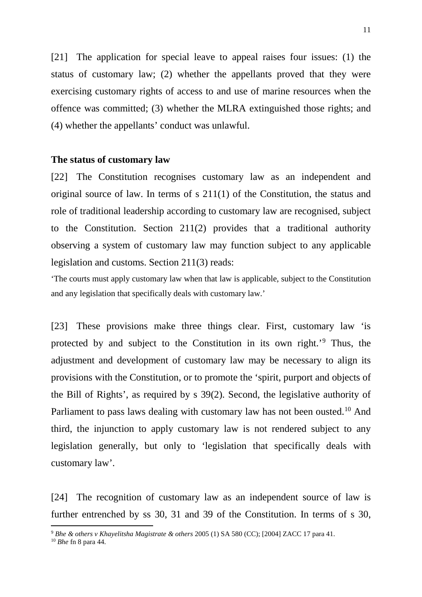[21] The application for special leave to appeal raises four issues: (1) the status of customary law; (2) whether the appellants proved that they were exercising customary rights of access to and use of marine resources when the offence was committed; (3) whether the MLRA extinguished those rights; and (4) whether the appellants' conduct was unlawful.

#### **The status of customary law**

[22] The Constitution recognises customary law as an independent and original source of law. In terms of s 211(1) of the Constitution, the status and role of traditional leadership according to customary law are recognised, subject to the Constitution. Section 211(2) provides that a traditional authority observing a system of customary law may function subject to any applicable legislation and customs. Section 211(3) reads:

'The courts must apply customary law when that law is applicable, subject to the Constitution and any legislation that specifically deals with customary law.'

[23] These provisions make three things clear. First, customary law 'is protected by and subject to the Constitution in its own right.'[9](#page-10-0) Thus, the adjustment and development of customary law may be necessary to align its provisions with the Constitution, or to promote the 'spirit, purport and objects of the Bill of Rights', as required by s 39(2). Second, the legislative authority of Parliament to pass laws dealing with customary law has not been ousted.<sup>[10](#page-10-1)</sup> And third, the injunction to apply customary law is not rendered subject to any legislation generally, but only to 'legislation that specifically deals with customary law'.

[24] The recognition of customary law as an independent source of law is further entrenched by ss 30, 31 and 39 of the Constitution. In terms of s 30,

<span id="page-10-0"></span><sup>9</sup> *Bhe & others v Khayelitsha Magistrate & others* 2005 (1) SA 580 (CC); [2004] ZACC 17 para 41.

<span id="page-10-1"></span><sup>10</sup> *Bhe* fn 8 para 44.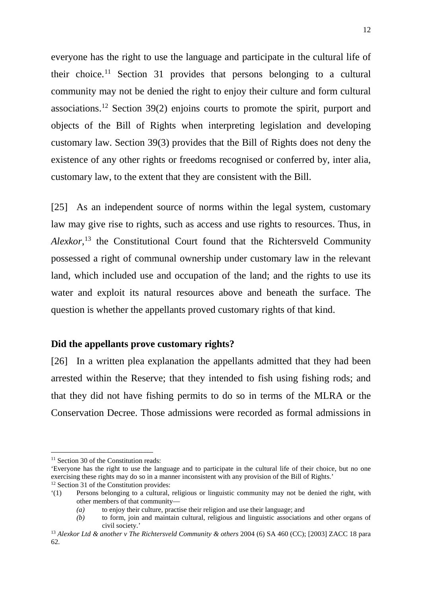everyone has the right to use the language and participate in the cultural life of their choice.<sup>11</sup> Section 31 provides that persons belonging to a cultural community may not be denied the right to enjoy their culture and form cultural associations.[12](#page-11-1) Section 39(2) enjoins courts to promote the spirit, purport and objects of the Bill of Rights when interpreting legislation and developing customary law. Section 39(3) provides that the Bill of Rights does not deny the existence of any other rights or freedoms recognised or conferred by, inter alia, customary law, to the extent that they are consistent with the Bill.

[25] As an independent source of norms within the legal system, customary law may give rise to rights, such as access and use rights to resources. Thus, in *Alexkor*, [13](#page-11-2) the Constitutional Court found that the Richtersveld Community possessed a right of communal ownership under customary law in the relevant land, which included use and occupation of the land; and the rights to use its water and exploit its natural resources above and beneath the surface. The question is whether the appellants proved customary rights of that kind.

#### **Did the appellants prove customary rights?**

[26] In a written plea explanation the appellants admitted that they had been arrested within the Reserve; that they intended to fish using fishing rods; and that they did not have fishing permits to do so in terms of the MLRA or the Conservation Decree. Those admissions were recorded as formal admissions in

<span id="page-11-0"></span><sup>&</sup>lt;sup>11</sup> Section 30 of the Constitution reads:

<sup>&#</sup>x27;Everyone has the right to use the language and to participate in the cultural life of their choice, but no one exercising these rights may do so in a manner inconsistent with any provision of the Bill of Rights.' <sup>12</sup> Section 31 of the Constitution provides:

<span id="page-11-1"></span><sup>&#</sup>x27;(1) Persons belonging to a cultural, religious or linguistic community may not be denied the right, with other members of that community—

*<sup>(</sup>a)* to enjoy their culture, practise their religion and use their language; and

*<sup>(</sup>b)* to form, join and maintain cultural, religious and linguistic associations and other organs of civil society.'

<span id="page-11-2"></span><sup>13</sup> *Alexkor Ltd & another v The Richtersveld Community & others* 2004 (6) SA 460 (CC); [2003] ZACC 18 para 62.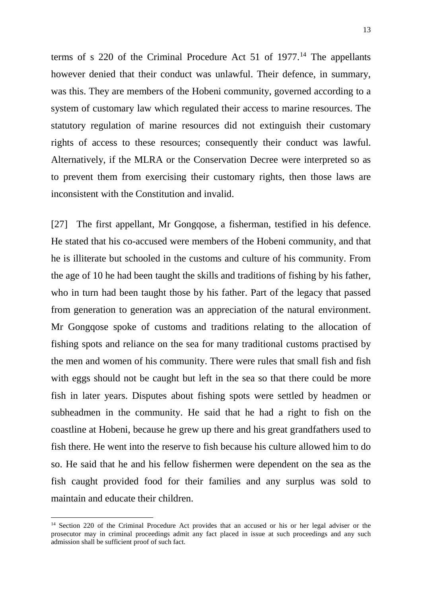terms of s  $220$  of the Criminal Procedure Act 51 of  $1977<sup>14</sup>$  $1977<sup>14</sup>$  $1977<sup>14</sup>$  The appellants however denied that their conduct was unlawful. Their defence, in summary, was this. They are members of the Hobeni community, governed according to a system of customary law which regulated their access to marine resources. The statutory regulation of marine resources did not extinguish their customary rights of access to these resources; consequently their conduct was lawful. Alternatively, if the MLRA or the Conservation Decree were interpreted so as to prevent them from exercising their customary rights, then those laws are inconsistent with the Constitution and invalid.

[27] The first appellant, Mr Gongqose, a fisherman, testified in his defence. He stated that his co-accused were members of the Hobeni community, and that he is illiterate but schooled in the customs and culture of his community. From the age of 10 he had been taught the skills and traditions of fishing by his father, who in turn had been taught those by his father. Part of the legacy that passed from generation to generation was an appreciation of the natural environment. Mr Gongqose spoke of customs and traditions relating to the allocation of fishing spots and reliance on the sea for many traditional customs practised by the men and women of his community. There were rules that small fish and fish with eggs should not be caught but left in the sea so that there could be more fish in later years. Disputes about fishing spots were settled by headmen or subheadmen in the community. He said that he had a right to fish on the coastline at Hobeni, because he grew up there and his great grandfathers used to fish there. He went into the reserve to fish because his culture allowed him to do so. He said that he and his fellow fishermen were dependent on the sea as the fish caught provided food for their families and any surplus was sold to maintain and educate their children.

<span id="page-12-0"></span><sup>&</sup>lt;sup>14</sup> Section 220 of the Criminal Procedure Act provides that an accused or his or her legal adviser or the prosecutor may in criminal proceedings admit any fact placed in issue at such proceedings and any such admission shall be sufficient proof of such fact.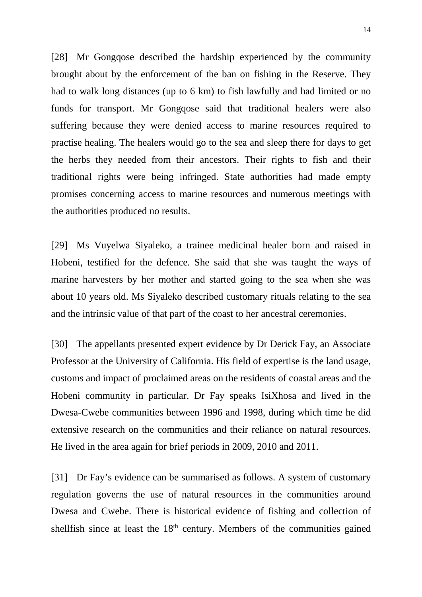[28] Mr Gongqose described the hardship experienced by the community brought about by the enforcement of the ban on fishing in the Reserve. They had to walk long distances (up to 6 km) to fish lawfully and had limited or no funds for transport. Mr Gongqose said that traditional healers were also suffering because they were denied access to marine resources required to practise healing. The healers would go to the sea and sleep there for days to get the herbs they needed from their ancestors. Their rights to fish and their traditional rights were being infringed. State authorities had made empty promises concerning access to marine resources and numerous meetings with the authorities produced no results.

[29] Ms Vuyelwa Siyaleko, a trainee medicinal healer born and raised in Hobeni, testified for the defence. She said that she was taught the ways of marine harvesters by her mother and started going to the sea when she was about 10 years old. Ms Siyaleko described customary rituals relating to the sea and the intrinsic value of that part of the coast to her ancestral ceremonies.

[30] The appellants presented expert evidence by Dr Derick Fay, an Associate Professor at the University of California. His field of expertise is the land usage, customs and impact of proclaimed areas on the residents of coastal areas and the Hobeni community in particular. Dr Fay speaks IsiXhosa and lived in the Dwesa-Cwebe communities between 1996 and 1998, during which time he did extensive research on the communities and their reliance on natural resources. He lived in the area again for brief periods in 2009, 2010 and 2011.

[31] Dr Fay's evidence can be summarised as follows. A system of customary regulation governs the use of natural resources in the communities around Dwesa and Cwebe. There is historical evidence of fishing and collection of shellfish since at least the  $18<sup>th</sup>$  century. Members of the communities gained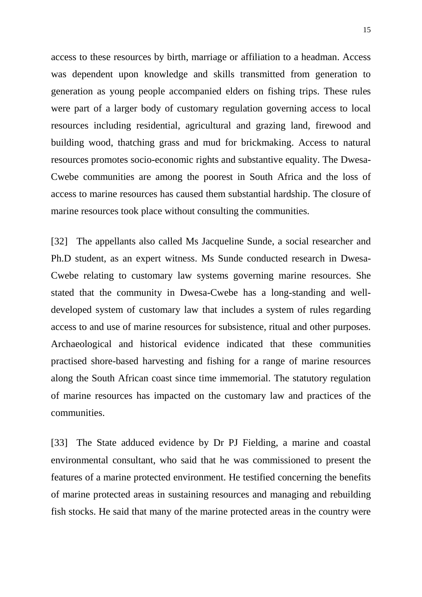access to these resources by birth, marriage or affiliation to a headman. Access was dependent upon knowledge and skills transmitted from generation to generation as young people accompanied elders on fishing trips. These rules were part of a larger body of customary regulation governing access to local resources including residential, agricultural and grazing land, firewood and building wood, thatching grass and mud for brickmaking. Access to natural resources promotes socio-economic rights and substantive equality. The Dwesa-Cwebe communities are among the poorest in South Africa and the loss of access to marine resources has caused them substantial hardship. The closure of marine resources took place without consulting the communities.

[32] The appellants also called Ms Jacqueline Sunde, a social researcher and Ph.D student, as an expert witness. Ms Sunde conducted research in Dwesa-Cwebe relating to customary law systems governing marine resources. She stated that the community in Dwesa-Cwebe has a long-standing and welldeveloped system of customary law that includes a system of rules regarding access to and use of marine resources for subsistence, ritual and other purposes. Archaeological and historical evidence indicated that these communities practised shore-based harvesting and fishing for a range of marine resources along the South African coast since time immemorial. The statutory regulation of marine resources has impacted on the customary law and practices of the communities.

[33] The State adduced evidence by Dr PJ Fielding, a marine and coastal environmental consultant, who said that he was commissioned to present the features of a marine protected environment. He testified concerning the benefits of marine protected areas in sustaining resources and managing and rebuilding fish stocks. He said that many of the marine protected areas in the country were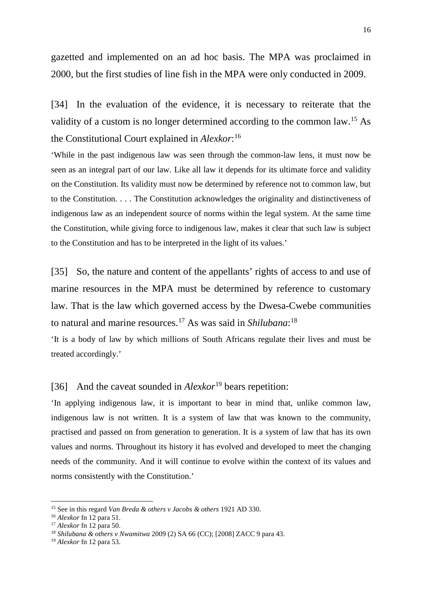gazetted and implemented on an ad hoc basis. The MPA was proclaimed in 2000, but the first studies of line fish in the MPA were only conducted in 2009.

[34] In the evaluation of the evidence, it is necessary to reiterate that the validity of a custom is no longer determined according to the common law. [15](#page-15-0) As the Constitutional Court explained in *Alexkor*: [16](#page-15-1)

'While in the past indigenous law was seen through the common-law lens, it must now be seen as an integral part of our law. Like all law it depends for its ultimate force and validity on the Constitution. Its validity must now be determined by reference not to common law, but to the Constitution. . . . The Constitution acknowledges the originality and distinctiveness of indigenous law as an independent source of norms within the legal system. At the same time the Constitution, while giving force to indigenous law, makes it clear that such law is subject to the Constitution and has to be interpreted in the light of its values.'

[35] So, the nature and content of the appellants' rights of access to and use of marine resources in the MPA must be determined by reference to customary law. That is the law which governed access by the Dwesa-Cwebe communities to natural and marine resources.[17](#page-15-2) As was said in *Shilubana*: [18](#page-15-3)

'It is a body of law by which millions of South Africans regulate their lives and must be treated accordingly.'

[36] And the caveat sounded in *Alexkor*<sup>[19](#page-15-4)</sup> bears repetition:

'In applying indigenous law, it is important to bear in mind that, unlike common law, indigenous law is not written. It is a system of law that was known to the community, practised and passed on from generation to generation. It is a system of law that has its own values and norms. Throughout its history it has evolved and developed to meet the changing needs of the community. And it will continue to evolve within the context of its values and norms consistently with the Constitution.'

<span id="page-15-0"></span><sup>15</sup> See in this regard *Van Breda & others v Jacobs & others* 1921 AD 330.

<span id="page-15-1"></span><sup>16</sup> *Alexkor* fn 12 para 51.

<span id="page-15-2"></span><sup>17</sup> *Alexkor* fn 12 para 50.

<span id="page-15-3"></span><sup>18</sup> *Shilubana & others v Nwamitwa* 2009 (2) SA 66 (CC); [2008] ZACC 9 para 43.

<span id="page-15-4"></span><sup>19</sup> *Alexkor* fn 12 para 53.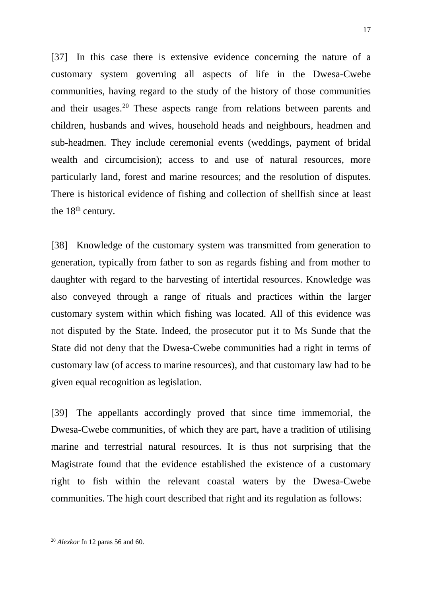[37] In this case there is extensive evidence concerning the nature of a customary system governing all aspects of life in the Dwesa-Cwebe communities, having regard to the study of the history of those communities and their usages.[20](#page-16-0) These aspects range from relations between parents and children, husbands and wives, household heads and neighbours, headmen and sub-headmen. They include ceremonial events (weddings, payment of bridal wealth and circumcision); access to and use of natural resources, more particularly land, forest and marine resources; and the resolution of disputes. There is historical evidence of fishing and collection of shellfish since at least the  $18<sup>th</sup>$  century.

[38] Knowledge of the customary system was transmitted from generation to generation, typically from father to son as regards fishing and from mother to daughter with regard to the harvesting of intertidal resources. Knowledge was also conveyed through a range of rituals and practices within the larger customary system within which fishing was located. All of this evidence was not disputed by the State. Indeed, the prosecutor put it to Ms Sunde that the State did not deny that the Dwesa-Cwebe communities had a right in terms of customary law (of access to marine resources), and that customary law had to be given equal recognition as legislation.

[39] The appellants accordingly proved that since time immemorial, the Dwesa-Cwebe communities, of which they are part, have a tradition of utilising marine and terrestrial natural resources. It is thus not surprising that the Magistrate found that the evidence established the existence of a customary right to fish within the relevant coastal waters by the Dwesa-Cwebe communities. The high court described that right and its regulation as follows:

<span id="page-16-0"></span><sup>20</sup> *Alexkor* fn 12 paras 56 and 60.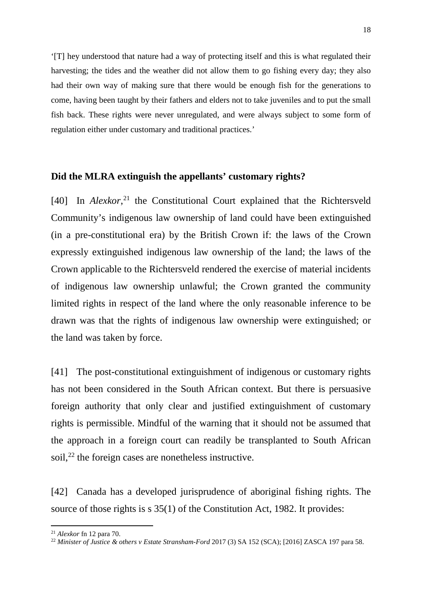'[T] hey understood that nature had a way of protecting itself and this is what regulated their harvesting; the tides and the weather did not allow them to go fishing every day; they also had their own way of making sure that there would be enough fish for the generations to come, having been taught by their fathers and elders not to take juveniles and to put the small fish back. These rights were never unregulated, and were always subject to some form of regulation either under customary and traditional practices.'

## **Did the MLRA extinguish the appellants' customary rights?**

[40] In *Alexkor*, [21](#page-17-0) the Constitutional Court explained that the Richtersveld Community's indigenous law ownership of land could have been extinguished (in a pre-constitutional era) by the British Crown if: the laws of the Crown expressly extinguished indigenous law ownership of the land; the laws of the Crown applicable to the Richtersveld rendered the exercise of material incidents of indigenous law ownership unlawful; the Crown granted the community limited rights in respect of the land where the only reasonable inference to be drawn was that the rights of indigenous law ownership were extinguished; or the land was taken by force.

[41] The post-constitutional extinguishment of indigenous or customary rights has not been considered in the South African context. But there is persuasive foreign authority that only clear and justified extinguishment of customary rights is permissible. Mindful of the warning that it should not be assumed that the approach in a foreign court can readily be transplanted to South African soil,<sup>[22](#page-17-1)</sup> the foreign cases are nonetheless instructive.

[42] Canada has a developed jurisprudence of aboriginal fishing rights. The source of those rights is s 35(1) of the Constitution Act, 1982. It provides:

<span id="page-17-0"></span><sup>21</sup> *Alexkor* fn 12 para 70.

<span id="page-17-1"></span><sup>22</sup> *Minister of Justice & others v Estate Stransham-Ford* 2017 (3) SA 152 (SCA); [2016] ZASCA 197 para 58.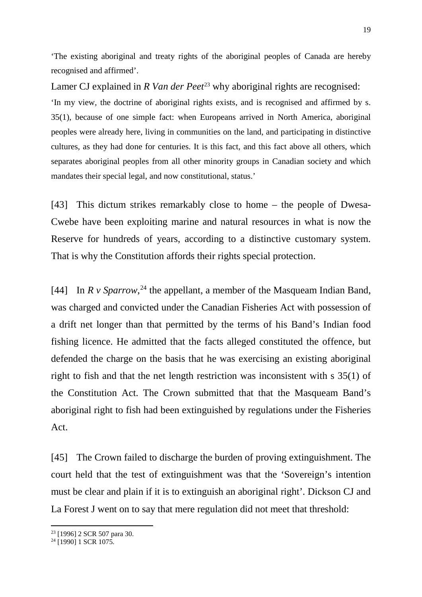'The existing aboriginal and treaty rights of the aboriginal peoples of Canada are hereby recognised and affirmed'.

Lamer CJ explained in *R Van der Peet*<sup>[23](#page-18-0)</sup> why aboriginal rights are recognised: 'In my view, the doctrine of aboriginal rights exists, and is recognised and affirmed by s. 35(1), because of one simple fact: when Europeans arrived in North America, aboriginal peoples were already here, living in communities on the land, and participating in distinctive cultures, as they had done for centuries. It is this fact, and this fact above all others, which separates aboriginal peoples from all other minority groups in Canadian society and which mandates their special legal, and now constitutional, status.'

[43] This dictum strikes remarkably close to home – the people of Dwesa-Cwebe have been exploiting marine and natural resources in what is now the Reserve for hundreds of years, according to a distinctive customary system. That is why the Constitution affords their rights special protection.

[44] In  $R \nu$  *Sparrow*,<sup>[24](#page-18-1)</sup> the appellant, a member of the Masqueam Indian Band, was charged and convicted under the Canadian Fisheries Act with possession of a drift net longer than that permitted by the terms of his Band's Indian food fishing licence. He admitted that the facts alleged constituted the offence, but defended the charge on the basis that he was exercising an existing aboriginal right to fish and that the net length restriction was inconsistent with s 35(1) of the Constitution Act. The Crown submitted that that the Masqueam Band's aboriginal right to fish had been extinguished by regulations under the Fisheries Act.

[45] The Crown failed to discharge the burden of proving extinguishment. The court held that the test of extinguishment was that the 'Sovereign's intention must be clear and plain if it is to extinguish an aboriginal right'. Dickson CJ and La Forest J went on to say that mere regulation did not meet that threshold:

<span id="page-18-0"></span><sup>23</sup> [1996] 2 SCR 507 para 30.

<span id="page-18-1"></span><sup>&</sup>lt;sup>24</sup> [1990] 1 SCR 1075.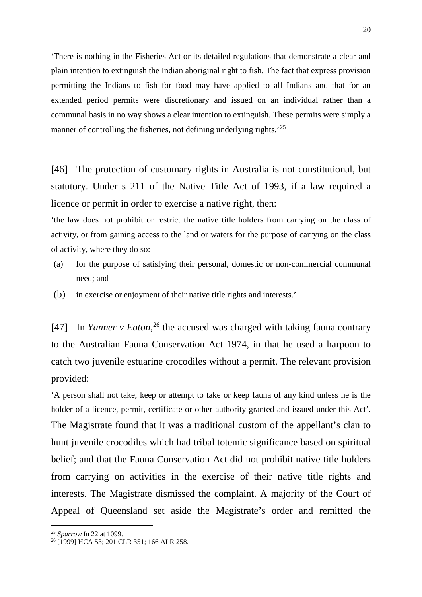'There is nothing in the Fisheries Act or its detailed regulations that demonstrate a clear and plain intention to extinguish the Indian aboriginal right to fish. The fact that express provision permitting the Indians to fish for food may have applied to all Indians and that for an extended period permits were discretionary and issued on an individual rather than a communal basis in no way shows a clear intention to extinguish. These permits were simply a manner of controlling the fisheries, not defining underlying rights.<sup>'[25](#page-19-0)</sup>

[46] The protection of customary rights in Australia is not constitutional, but statutory. Under s 211 of the Native Title Act of 1993, if a law required a licence or permit in order to exercise a native right, then:

'the law does not prohibit or restrict the native title holders from carrying on the class of activity, or from gaining access to the land or waters for the purpose of carrying on the class of activity, where they do so:

- (a) for the purpose of satisfying their personal, domestic or non-commercial communal need; and
- (b) in exercise or enjoyment of their native title rights and interests.'

[47] In *Yanner v Eaton*, [26](#page-19-1) the accused was charged with taking fauna contrary to the Australian Fauna Conservation Act 1974, in that he used a harpoon to catch two juvenile estuarine crocodiles without a permit. The relevant provision provided:

'A person shall not take, keep or attempt to take or keep fauna of any kind unless he is the holder of a licence, permit, certificate or other authority granted and issued under this Act'. The Magistrate found that it was a traditional custom of the appellant's clan to hunt juvenile crocodiles which had tribal totemic significance based on spiritual belief; and that the Fauna Conservation Act did not prohibit native title holders from carrying on activities in the exercise of their native title rights and interests. The Magistrate dismissed the complaint. A majority of the Court of Appeal of Queensland set aside the Magistrate's order and remitted the

<span id="page-19-0"></span><sup>25</sup> *Sparrow* fn 22 at 1099.

<span id="page-19-1"></span><sup>&</sup>lt;sup>26</sup> [1999] HCA 53; 201 CLR 351; 166 ALR 258.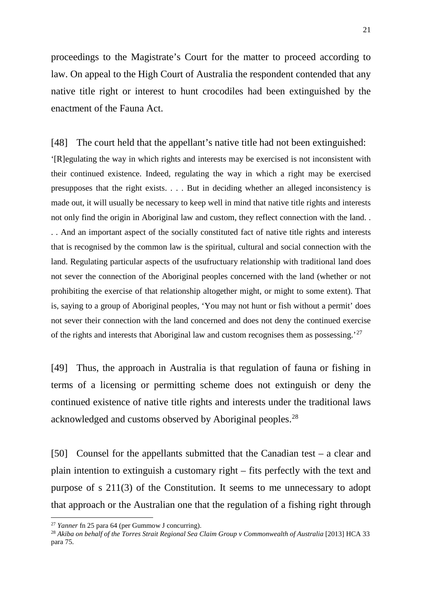proceedings to the Magistrate's Court for the matter to proceed according to law. On appeal to the High Court of Australia the respondent contended that any native title right or interest to hunt crocodiles had been extinguished by the enactment of the Fauna Act.

[48] The court held that the appellant's native title had not been extinguished: '[R]egulating the way in which rights and interests may be exercised is not inconsistent with their continued existence. Indeed, regulating the way in which a right may be exercised presupposes that the right exists. . . . But in deciding whether an alleged inconsistency is made out, it will usually be necessary to keep well in mind that native title rights and interests not only find the origin in Aboriginal law and custom, they reflect connection with the land. . . . And an important aspect of the socially constituted fact of native title rights and interests that is recognised by the common law is the spiritual, cultural and social connection with the land. Regulating particular aspects of the usufructuary relationship with traditional land does not sever the connection of the Aboriginal peoples concerned with the land (whether or not prohibiting the exercise of that relationship altogether might, or might to some extent). That is, saying to a group of Aboriginal peoples, 'You may not hunt or fish without a permit' does not sever their connection with the land concerned and does not deny the continued exercise of the rights and interests that Aboriginal law and custom recognises them as possessing.'[27](#page-20-0)

[49] Thus, the approach in Australia is that regulation of fauna or fishing in terms of a licensing or permitting scheme does not extinguish or deny the continued existence of native title rights and interests under the traditional laws acknowledged and customs observed by Aboriginal peoples.[28](#page-20-1)

[50] Counsel for the appellants submitted that the Canadian test – a clear and plain intention to extinguish a customary right – fits perfectly with the text and purpose of s 211(3) of the Constitution. It seems to me unnecessary to adopt that approach or the Australian one that the regulation of a fishing right through

<span id="page-20-0"></span><sup>27</sup> *Yanner* fn 25 para 64 (per Gummow J concurring).

<span id="page-20-1"></span><sup>&</sup>lt;sup>28</sup> Akiba on behalf of the Torres Strait Regional Sea Claim Group v Commonwealth of Australia [2013] HCA 33 para 75.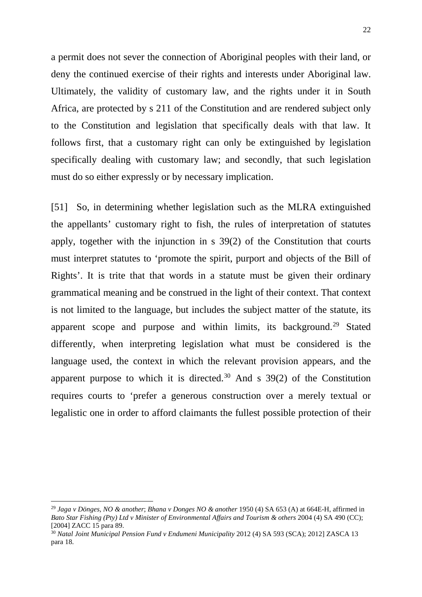a permit does not sever the connection of Aboriginal peoples with their land, or deny the continued exercise of their rights and interests under Aboriginal law. Ultimately, the validity of customary law, and the rights under it in South Africa, are protected by s 211 of the Constitution and are rendered subject only to the Constitution and legislation that specifically deals with that law. It follows first, that a customary right can only be extinguished by legislation specifically dealing with customary law; and secondly, that such legislation must do so either expressly or by necessary implication.

[51] So, in determining whether legislation such as the MLRA extinguished the appellants' customary right to fish, the rules of interpretation of statutes apply, together with the injunction in s 39(2) of the Constitution that courts must interpret statutes to 'promote the spirit, purport and objects of the Bill of Rights'. It is trite that that words in a statute must be given their ordinary grammatical meaning and be construed in the light of their context. That context is not limited to the language, but includes the subject matter of the statute, its apparent scope and purpose and within limits, its background.<sup>[29](#page-21-0)</sup> Stated differently, when interpreting legislation what must be considered is the language used, the context in which the relevant provision appears, and the apparent purpose to which it is directed.<sup>[30](#page-21-1)</sup> And s  $39(2)$  of the Constitution requires courts to 'prefer a generous construction over a merely textual or legalistic one in order to afford claimants the fullest possible protection of their

<span id="page-21-0"></span><sup>29</sup> *Jaga v Dönges, NO & another*; *Bhana v Donges NO & another* 1950 (4) SA 653 (A) at 664E-H, affirmed in *Bato Star Fishing (Pty) Ltd v Minister of Environmental Affairs and Tourism & others* 2004 (4) SA 490 (CC); [2004] ZACC 15 para 89.

<span id="page-21-1"></span><sup>30</sup> *Natal Joint Municipal Pension Fund v Endumeni Municipality* 2012 (4) SA 593 (SCA); 2012] ZASCA 13 para 18.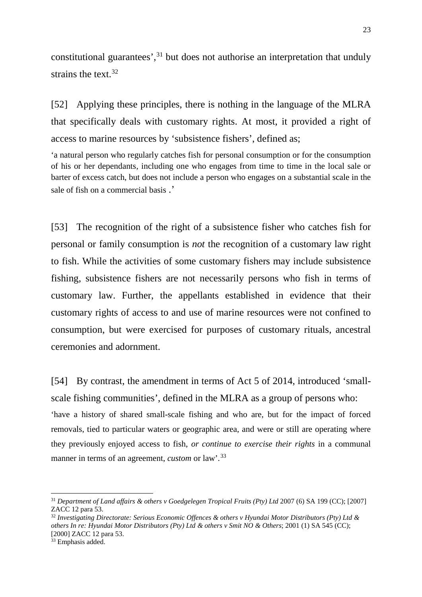constitutional guarantees',  $31$  but does not authorise an interpretation that unduly strains the text.  $32$ 

[52] Applying these principles, there is nothing in the language of the MLRA that specifically deals with customary rights. At most, it provided a right of access to marine resources by 'subsistence fishers', defined as;

'a natural person who regularly catches fish for personal consumption or for the consumption of his or her dependants, including one who engages from time to time in the local sale or barter of excess catch, but does not include a person who engages on a substantial scale in the sale of fish on a commercial basis .'

[53] The recognition of the right of a subsistence fisher who catches fish for personal or family consumption is *not* the recognition of a customary law right to fish. While the activities of some customary fishers may include subsistence fishing, subsistence fishers are not necessarily persons who fish in terms of customary law. Further, the appellants established in evidence that their customary rights of access to and use of marine resources were not confined to consumption, but were exercised for purposes of customary rituals, ancestral ceremonies and adornment.

[54] By contrast, the amendment in terms of Act 5 of 2014, introduced 'smallscale fishing communities', defined in the MLRA as a group of persons who: 'have a history of shared small-scale fishing and who are, but for the impact of forced removals, tied to particular waters or geographic area, and were or still are operating where they previously enjoyed access to fish, *or continue to exercise their rights* in a communal manner in terms of an agreement, *custom* or law'.[33](#page-22-2)

<span id="page-22-0"></span><sup>31</sup> *Department of Land affairs & others v Goedgelegen Tropical Fruits (Pty) Ltd* 2007 (6) SA 199 (CC); [2007] ZACC 12 para 53.

<span id="page-22-1"></span><sup>32</sup> *Investigating Directorate: Serious Economic Offences & others v Hyundai Motor Distributors (Pty) Ltd & others In re: Hyundai Motor Distributors (Pty) Ltd & others v Smit NO & Others*; 2001 (1) SA 545 (CC); [2000] ZACC 12 para 53.

<span id="page-22-2"></span><sup>&</sup>lt;sup>33</sup> Emphasis added.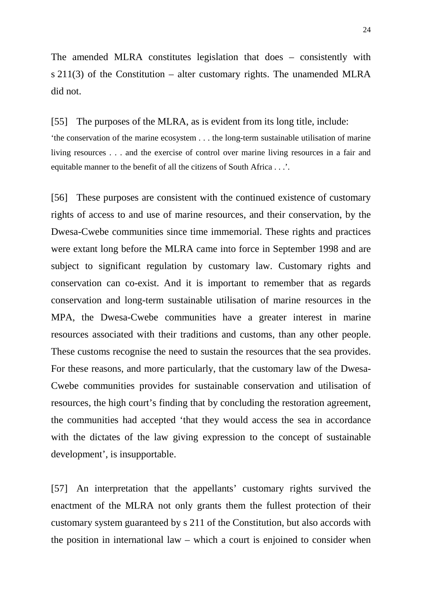The amended MLRA constitutes legislation that does – consistently with s 211(3) of the Constitution – alter customary rights. The unamended MLRA did not.

[55] The purposes of the MLRA, as is evident from its long title, include: 'the conservation of the marine ecosystem . . . the long-term sustainable utilisation of marine living resources . . . and the exercise of control over marine living resources in a fair and equitable manner to the benefit of all the citizens of South Africa . . .'.

[56] These purposes are consistent with the continued existence of customary rights of access to and use of marine resources, and their conservation, by the Dwesa-Cwebe communities since time immemorial. These rights and practices were extant long before the MLRA came into force in September 1998 and are subject to significant regulation by customary law. Customary rights and conservation can co-exist. And it is important to remember that as regards conservation and long-term sustainable utilisation of marine resources in the MPA, the Dwesa-Cwebe communities have a greater interest in marine resources associated with their traditions and customs, than any other people. These customs recognise the need to sustain the resources that the sea provides. For these reasons, and more particularly, that the customary law of the Dwesa-Cwebe communities provides for sustainable conservation and utilisation of resources, the high court's finding that by concluding the restoration agreement, the communities had accepted 'that they would access the sea in accordance with the dictates of the law giving expression to the concept of sustainable development', is insupportable.

[57] An interpretation that the appellants' customary rights survived the enactment of the MLRA not only grants them the fullest protection of their customary system guaranteed by s 211 of the Constitution, but also accords with the position in international law – which a court is enjoined to consider when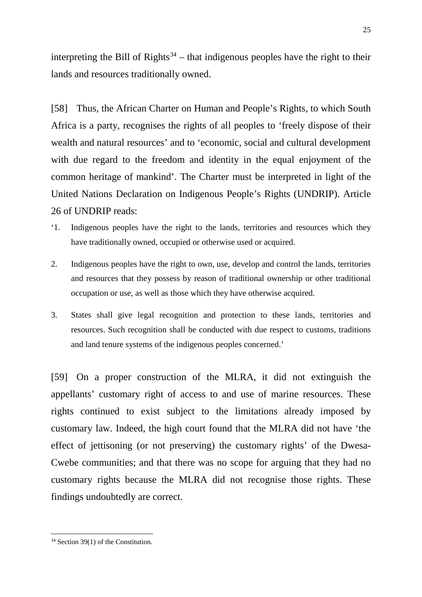interpreting the Bill of Rights<sup>[34](#page-24-0)</sup> – that indigenous peoples have the right to their lands and resources traditionally owned.

[58] Thus, the African Charter on Human and People's Rights, to which South Africa is a party, recognises the rights of all peoples to 'freely dispose of their wealth and natural resources' and to 'economic, social and cultural development with due regard to the freedom and identity in the equal enjoyment of the common heritage of mankind'. The Charter must be interpreted in light of the United Nations Declaration on Indigenous People's Rights (UNDRIP). Article 26 of UNDRIP reads:

- '1. Indigenous peoples have the right to the lands, territories and resources which they have traditionally owned, occupied or otherwise used or acquired.
- 2. Indigenous peoples have the right to own, use, develop and control the lands, territories and resources that they possess by reason of traditional ownership or other traditional occupation or use, as well as those which they have otherwise acquired.
- 3. States shall give legal recognition and protection to these lands, territories and resources. Such recognition shall be conducted with due respect to customs, traditions and land tenure systems of the indigenous peoples concerned.'

[59] On a proper construction of the MLRA, it did not extinguish the appellants' customary right of access to and use of marine resources. These rights continued to exist subject to the limitations already imposed by customary law. Indeed, the high court found that the MLRA did not have 'the effect of jettisoning (or not preserving) the customary rights' of the Dwesa-Cwebe communities; and that there was no scope for arguing that they had no customary rights because the MLRA did not recognise those rights. These findings undoubtedly are correct.

<span id="page-24-0"></span> $\overline{a}$ <sup>34</sup> Section 39(1) of the Constitution.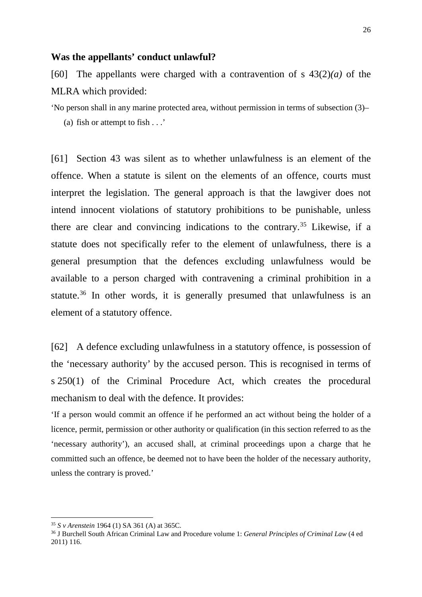#### **Was the appellants' conduct unlawful?**

[60] The appellants were charged with a contravention of s 43(2)*(a)* of the MLRA which provided:

'No person shall in any marine protected area, without permission in terms of subsection (3)– (a) fish or attempt to fish . . .'

[61] Section 43 was silent as to whether unlawfulness is an element of the offence. When a statute is silent on the elements of an offence, courts must interpret the legislation. The general approach is that the lawgiver does not intend innocent violations of statutory prohibitions to be punishable, unless there are clear and convincing indications to the contrary.<sup>35</sup> Likewise, if a statute does not specifically refer to the element of unlawfulness, there is a general presumption that the defences excluding unlawfulness would be available to a person charged with contravening a criminal prohibition in a statute.<sup>[36](#page-25-1)</sup> In other words, it is generally presumed that unlawfulness is an element of a statutory offence.

[62] A defence excluding unlawfulness in a statutory offence, is possession of the 'necessary authority' by the accused person. This is recognised in terms of s 250(1) of the Criminal Procedure Act, which creates the procedural mechanism to deal with the defence. It provides:

'If a person would commit an offence if he performed an act without being the holder of a licence, permit, permission or other authority or qualification (in this section referred to as the 'necessary authority'), an accused shall, at criminal proceedings upon a charge that he committed such an offence, be deemed not to have been the holder of the necessary authority, unless the contrary is proved.'

<span id="page-25-0"></span><sup>35</sup> *S v Arenstein* 1964 (1) SA 361 (A) at 365C.

<span id="page-25-1"></span><sup>36</sup> J Burchell South African Criminal Law and Procedure volume 1: *General Principles of Criminal Law* (4 ed 2011) 116.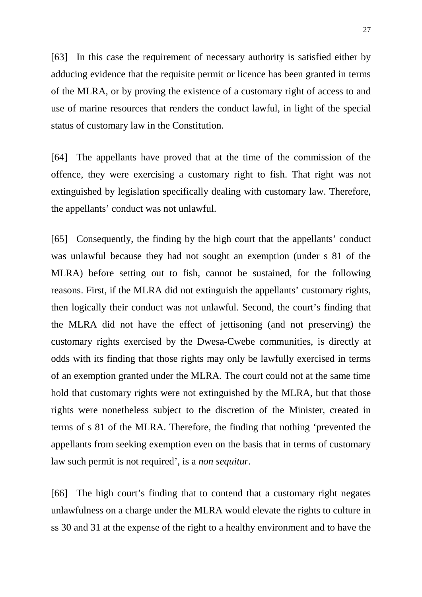[63] In this case the requirement of necessary authority is satisfied either by adducing evidence that the requisite permit or licence has been granted in terms of the MLRA, or by proving the existence of a customary right of access to and use of marine resources that renders the conduct lawful, in light of the special status of customary law in the Constitution.

[64] The appellants have proved that at the time of the commission of the offence, they were exercising a customary right to fish. That right was not extinguished by legislation specifically dealing with customary law. Therefore, the appellants' conduct was not unlawful.

[65] Consequently, the finding by the high court that the appellants' conduct was unlawful because they had not sought an exemption (under s 81 of the MLRA) before setting out to fish, cannot be sustained, for the following reasons. First, if the MLRA did not extinguish the appellants' customary rights, then logically their conduct was not unlawful. Second, the court's finding that the MLRA did not have the effect of jettisoning (and not preserving) the customary rights exercised by the Dwesa-Cwebe communities, is directly at odds with its finding that those rights may only be lawfully exercised in terms of an exemption granted under the MLRA. The court could not at the same time hold that customary rights were not extinguished by the MLRA, but that those rights were nonetheless subject to the discretion of the Minister, created in terms of s 81 of the MLRA. Therefore, the finding that nothing 'prevented the appellants from seeking exemption even on the basis that in terms of customary law such permit is not required', is a *non sequitur*.

[66] The high court's finding that to contend that a customary right negates unlawfulness on a charge under the MLRA would elevate the rights to culture in ss 30 and 31 at the expense of the right to a healthy environment and to have the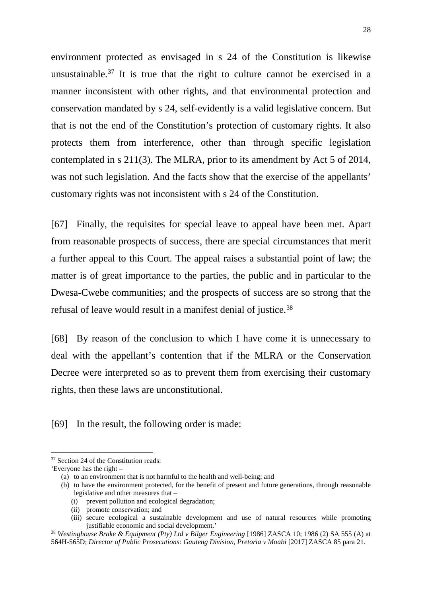environment protected as envisaged in s 24 of the Constitution is likewise unsustainable.<sup>[37](#page-27-0)</sup> It is true that the right to culture cannot be exercised in a manner inconsistent with other rights, and that environmental protection and conservation mandated by s 24, self-evidently is a valid legislative concern. But that is not the end of the Constitution's protection of customary rights. It also protects them from interference, other than through specific legislation contemplated in s 211(3). The MLRA, prior to its amendment by Act 5 of 2014, was not such legislation. And the facts show that the exercise of the appellants' customary rights was not inconsistent with s 24 of the Constitution.

[67] Finally, the requisites for special leave to appeal have been met. Apart from reasonable prospects of success, there are special circumstances that merit a further appeal to this Court. The appeal raises a substantial point of law; the matter is of great importance to the parties, the public and in particular to the Dwesa-Cwebe communities; and the prospects of success are so strong that the refusal of leave would result in a manifest denial of justice.[38](#page-27-1)

[68] By reason of the conclusion to which I have come it is unnecessary to deal with the appellant's contention that if the MLRA or the Conservation Decree were interpreted so as to prevent them from exercising their customary rights, then these laws are unconstitutional.

[69] In the result, the following order is made:

<span id="page-27-0"></span><sup>37</sup> Section 24 of the Constitution reads:

<sup>&#</sup>x27;Everyone has the right –

<sup>(</sup>a) to an environment that is not harmful to the health and well-being; and

<sup>(</sup>b) to have the environment protected, for the benefit of present and future generations, through reasonable legislative and other measures that –

<sup>(</sup>i) prevent pollution and ecological degradation;

<sup>(</sup>ii) promote conservation; and

<sup>(</sup>iii) secure ecological a sustainable development and use of natural resources while promoting justifiable economic and social development.'

<span id="page-27-1"></span><sup>38</sup> *Westinghouse Brake & Equipment (Pty) Ltd v Bilger Engineering* [1986] ZASCA 10; 1986 (2) SA 555 (A) at 564H-565D; *Director of Public Prosecutions: Gauteng Division, Pretoria v Moabi* [2017] ZASCA 85 para 21.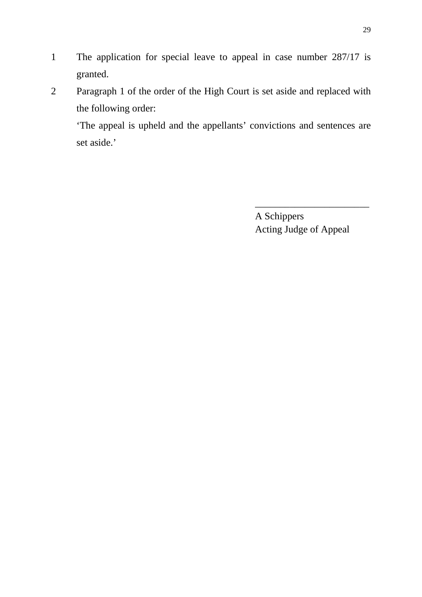- 1 The application for special leave to appeal in case number 287/17 is granted.
- 2 Paragraph 1 of the order of the High Court is set aside and replaced with the following order:

'The appeal is upheld and the appellants' convictions and sentences are set aside.'

> A Schippers Acting Judge of Appeal

\_\_\_\_\_\_\_\_\_\_\_\_\_\_\_\_\_\_\_\_\_\_\_